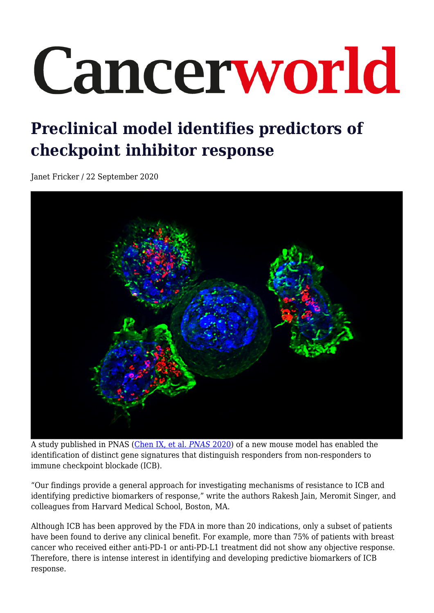## Cancerworld

## **Preclinical model identifies predictors of checkpoint inhibitor response**

Janet Fricker / 22 September 2020



A study published in PNAS [\(Chen IX, et al.](https://doi.org/10.1073/pnas.2002806117) *[PNAS](https://doi.org/10.1073/pnas.2002806117)* [2020\)](https://doi.org/10.1073/pnas.2002806117) of a new mouse model has enabled the identification of distinct gene signatures that distinguish responders from non-responders to immune checkpoint blockade (ICB).

"Our findings provide a general approach for investigating mechanisms of resistance to ICB and identifying predictive biomarkers of response," write the authors Rakesh Jain, Meromit Singer, and colleagues from Harvard Medical School, Boston, MA.

Although ICB has been approved by the FDA in more than 20 indications, only a subset of patients have been found to derive any clinical benefit. For example, more than 75% of patients with breast cancer who received either anti-PD-1 or anti-PD-L1 treatment did not show any objective response. Therefore, there is intense interest in identifying and developing predictive biomarkers of ICB response.